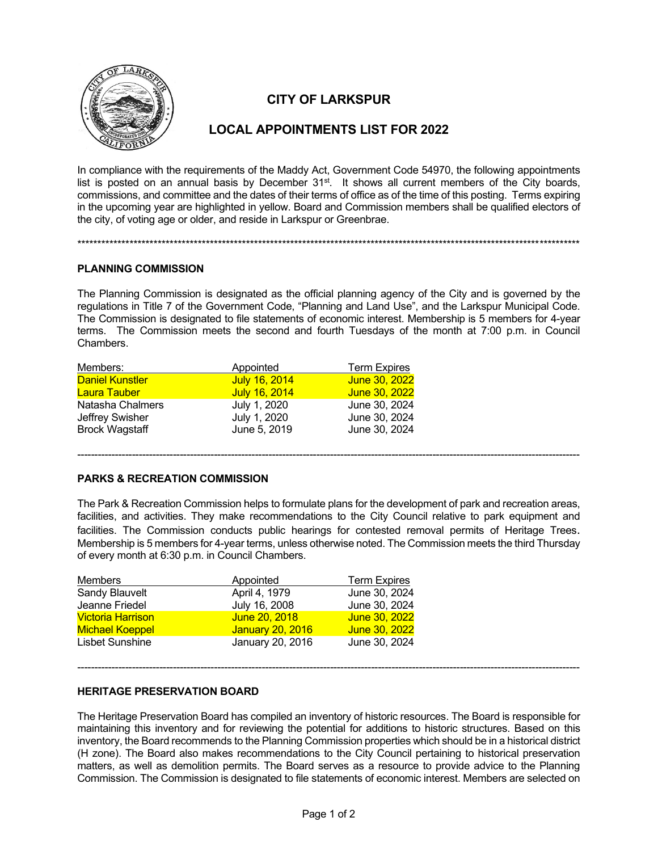

# **CITY OF LARKSPUR**

## **LOCAL APPOINTMENTS LIST FOR 2022**

In compliance with the requirements of the Maddy Act, Government Code 54970, the following appointments list is posted on an annual basis by December 31<sup>st</sup>. It shows all current members of the City boards, commissions, and committee and the dates of their terms of office as of the time of this posting. Terms expiring in the upcoming year are highlighted in yellow. Board and Commission members shall be qualified electors of the city, of voting age or older, and reside in Larkspur or Greenbrae.

\*\*\*\*\*\*\*\*\*\*\*\*\*\*\*\*\*\*\*\*\*\*\*\*\*\*\*\*\*\*\*\*\*\*\*\*\*\*\*\*\*\*\*\*\*\*\*\*\*\*\*\*\*\*\*\*\*\*\*\*\*\*\*\*\*\*\*\*\*\*\*\*\*\*\*\*\*\*\*\*\*\*\*\*\*\*\*\*\*\*\*\*\*\*\*\*\*\*\*\*\*\*\*\*\*\*\*\*\*\*\*\*\*\*\*\*\*\*\*\*\*\*\*\*\*

### **PLANNING COMMISSION**

The Planning Commission is designated as the official planning agency of the City and is governed by the regulations in Title 7 of the Government Code, "Planning and Land Use", and the Larkspur Municipal Code. The Commission is designated to file statements of economic interest. Membership is 5 members for 4-year terms. The Commission meets the second and fourth Tuesdays of the month at 7:00 p.m. in Council Chambers.

| Members:               | Appointed     | <b>Term Expires</b> |
|------------------------|---------------|---------------------|
| <b>Daniel Kunstler</b> | July 16, 2014 | June 30, 2022       |
| <b>Laura Tauber</b>    | July 16, 2014 | June 30, 2022       |
| Natasha Chalmers       | July 1, 2020  | June 30, 2024       |
| Jeffrey Swisher        | July 1, 2020  | June 30, 2024       |
| <b>Brock Wagstaff</b>  | June 5, 2019  | June 30, 2024       |
|                        |               |                     |

### **PARKS & RECREATION COMMISSION**

The Park & Recreation Commission helps to formulate plans for the development of park and recreation areas, facilities, and activities. They make recommendations to the City Council relative to park equipment and facilities. The Commission conducts public hearings for contested removal permits of Heritage Trees. Membership is 5 members for 4-year terms, unless otherwise noted. The Commission meets the third Thursday of every month at 6:30 p.m. in Council Chambers.

---------------------------------------------------------------------------------------------------------------------------------------------------

| <b>Members</b>           | <b>Appointed</b>        | <b>Term Expires</b> |
|--------------------------|-------------------------|---------------------|
| Sandy Blauvelt           | April 4, 1979           | June 30, 2024       |
| Jeanne Friedel           | July 16, 2008           | June 30, 2024       |
| <b>Victoria Harrison</b> | June 20, 2018           | June 30, 2022       |
| <b>Michael Koeppel</b>   | <b>January 20, 2016</b> | June 30, 2022       |
| Lisbet Sunshine          | January 20, 2016        | June 30, 2024       |

## **HERITAGE PRESERVATION BOARD**

The Heritage Preservation Board has compiled an inventory of historic resources. The Board is responsible for maintaining this inventory and for reviewing the potential for additions to historic structures. Based on this inventory, the Board recommends to the Planning Commission properties which should be in a historical district (H zone). The Board also makes recommendations to the City Council pertaining to historical preservation matters, as well as demolition permits. The Board serves as a resource to provide advice to the Planning Commission. The Commission is designated to file statements of economic interest. Members are selected on

---------------------------------------------------------------------------------------------------------------------------------------------------